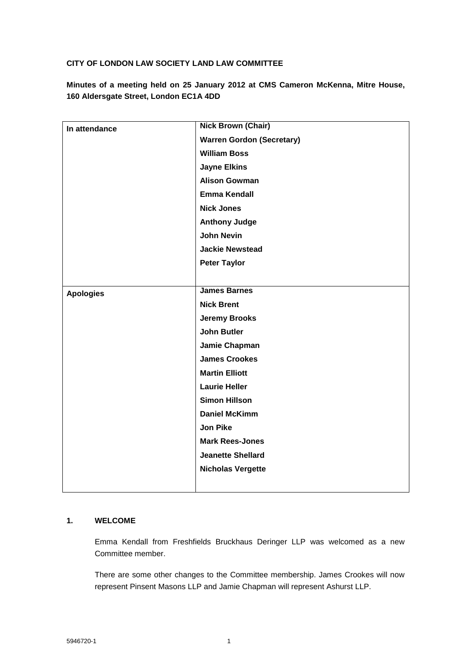## **CITY OF LONDON LAW SOCIETY LAND LAW COMMITTEE**

**Minutes of a meeting held on 25 January 2012 at CMS Cameron McKenna, Mitre House, 160 Aldersgate Street, London EC1A 4DD**

| In attendance    | <b>Nick Brown (Chair)</b>        |
|------------------|----------------------------------|
|                  | <b>Warren Gordon (Secretary)</b> |
|                  | <b>William Boss</b>              |
|                  | <b>Jayne Elkins</b>              |
|                  | <b>Alison Gowman</b>             |
|                  | <b>Emma Kendall</b>              |
|                  | <b>Nick Jones</b>                |
|                  | <b>Anthony Judge</b>             |
|                  | <b>John Nevin</b>                |
|                  | <b>Jackie Newstead</b>           |
|                  | <b>Peter Taylor</b>              |
|                  |                                  |
| <b>Apologies</b> | <b>James Barnes</b>              |
|                  | <b>Nick Brent</b>                |
|                  | <b>Jeremy Brooks</b>             |
|                  | <b>John Butler</b>               |
|                  | Jamie Chapman                    |
|                  | <b>James Crookes</b>             |
|                  | <b>Martin Elliott</b>            |
|                  | <b>Laurie Heller</b>             |
|                  | <b>Simon Hillson</b>             |
|                  | <b>Daniel McKimm</b>             |
|                  | <b>Jon Pike</b>                  |
|                  | <b>Mark Rees-Jones</b>           |
|                  | <b>Jeanette Shellard</b>         |
|                  | <b>Nicholas Vergette</b>         |
|                  |                                  |
|                  |                                  |

## **1. WELCOME**

Emma Kendall from Freshfields Bruckhaus Deringer LLP was welcomed as a new Committee member.

There are some other changes to the Committee membership. James Crookes will now represent Pinsent Masons LLP and Jamie Chapman will represent Ashurst LLP.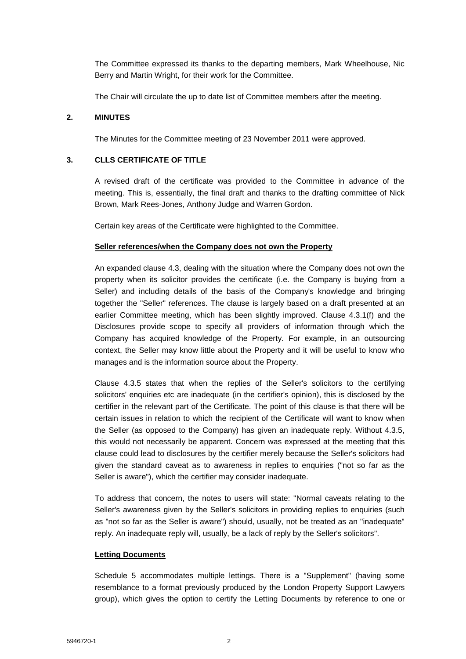The Committee expressed its thanks to the departing members, Mark Wheelhouse, Nic Berry and Martin Wright, for their work for the Committee.

The Chair will circulate the up to date list of Committee members after the meeting.

## **2. MINUTES**

The Minutes for the Committee meeting of 23 November 2011 were approved.

# **3. CLLS CERTIFICATE OF TITLE**

A revised draft of the certificate was provided to the Committee in advance of the meeting. This is, essentially, the final draft and thanks to the drafting committee of Nick Brown, Mark Rees-Jones, Anthony Judge and Warren Gordon.

Certain key areas of the Certificate were highlighted to the Committee.

#### **Seller references/when the Company does not own the Property**

An expanded clause 4.3, dealing with the situation where the Company does not own the property when its solicitor provides the certificate (i.e. the Company is buying from a Seller) and including details of the basis of the Company's knowledge and bringing together the "Seller" references. The clause is largely based on a draft presented at an earlier Committee meeting, which has been slightly improved. Clause 4.3.1(f) and the Disclosures provide scope to specify all providers of information through which the Company has acquired knowledge of the Property. For example, in an outsourcing context, the Seller may know little about the Property and it will be useful to know who manages and is the information source about the Property.

Clause 4.3.5 states that when the replies of the Seller's solicitors to the certifying solicitors' enquiries etc are inadequate (in the certifier's opinion), this is disclosed by the certifier in the relevant part of the Certificate. The point of this clause is that there will be certain issues in relation to which the recipient of the Certificate will want to know when the Seller (as opposed to the Company) has given an inadequate reply. Without 4.3.5, this would not necessarily be apparent. Concern was expressed at the meeting that this clause could lead to disclosures by the certifier merely because the Seller's solicitors had given the standard caveat as to awareness in replies to enquiries ("not so far as the Seller is aware"), which the certifier may consider inadequate.

To address that concern, the notes to users will state: "Normal caveats relating to the Seller's awareness given by the Seller's solicitors in providing replies to enquiries (such as "not so far as the Seller is aware") should, usually, not be treated as an "inadequate" reply. An inadequate reply will, usually, be a lack of reply by the Seller's solicitors".

#### **Letting Documents**

Schedule 5 accommodates multiple lettings. There is a "Supplement" (having some resemblance to a format previously produced by the London Property Support Lawyers group), which gives the option to certify the Letting Documents by reference to one or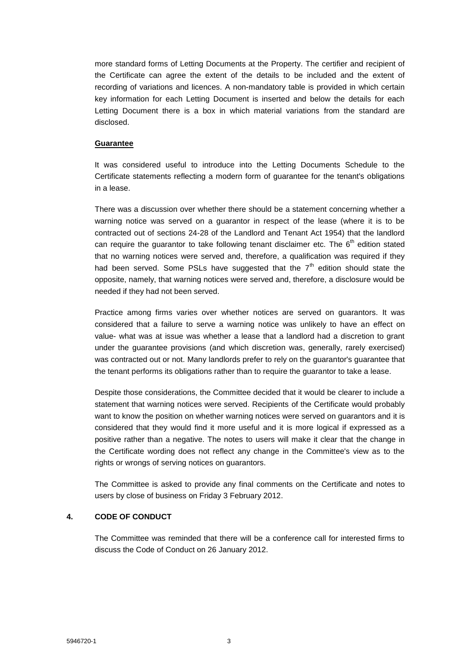more standard forms of Letting Documents at the Property. The certifier and recipient of the Certificate can agree the extent of the details to be included and the extent of recording of variations and licences. A non-mandatory table is provided in which certain key information for each Letting Document is inserted and below the details for each Letting Document there is a box in which material variations from the standard are disclosed.

#### **Guarantee**

It was considered useful to introduce into the Letting Documents Schedule to the Certificate statements reflecting a modern form of guarantee for the tenant's obligations in a lease.

There was a discussion over whether there should be a statement concerning whether a warning notice was served on a guarantor in respect of the lease (where it is to be contracted out of sections 24-28 of the Landlord and Tenant Act 1954) that the landlord can require the quarantor to take following tenant disclaimer etc. The  $6<sup>th</sup>$  edition stated that no warning notices were served and, therefore, a qualification was required if they had been served. Some PSLs have suggested that the  $7<sup>th</sup>$  edition should state the opposite, namely, that warning notices were served and, therefore, a disclosure would be needed if they had not been served.

Practice among firms varies over whether notices are served on guarantors. It was considered that a failure to serve a warning notice was unlikely to have an effect on value- what was at issue was whether a lease that a landlord had a discretion to grant under the guarantee provisions (and which discretion was, generally, rarely exercised) was contracted out or not. Many landlords prefer to rely on the guarantor's guarantee that the tenant performs its obligations rather than to require the guarantor to take a lease.

Despite those considerations, the Committee decided that it would be clearer to include a statement that warning notices were served. Recipients of the Certificate would probably want to know the position on whether warning notices were served on guarantors and it is considered that they would find it more useful and it is more logical if expressed as a positive rather than a negative. The notes to users will make it clear that the change in the Certificate wording does not reflect any change in the Committee's view as to the rights or wrongs of serving notices on guarantors.

The Committee is asked to provide any final comments on the Certificate and notes to users by close of business on Friday 3 February 2012.

#### **4. CODE OF CONDUCT**

The Committee was reminded that there will be a conference call for interested firms to discuss the Code of Conduct on 26 January 2012.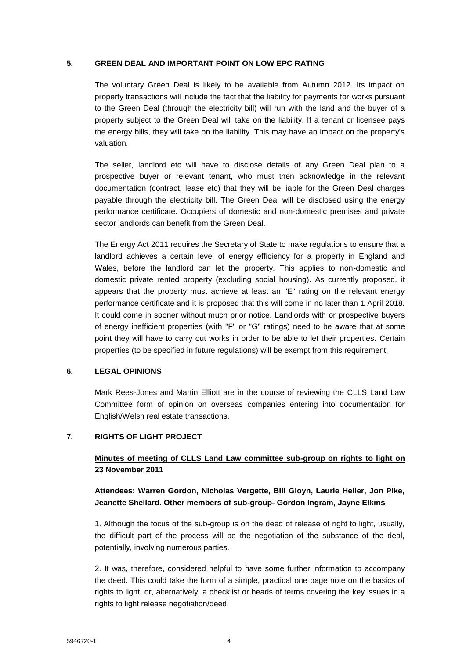#### **5. GREEN DEAL AND IMPORTANT POINT ON LOW EPC RATING**

The voluntary Green Deal is likely to be available from Autumn 2012. Its impact on property transactions will include the fact that the liability for payments for works pursuant to the Green Deal (through the electricity bill) will run with the land and the buyer of a property subject to the Green Deal will take on the liability. If a tenant or licensee pays the energy bills, they will take on the liability. This may have an impact on the property's valuation.

The seller, landlord etc will have to disclose details of any Green Deal plan to a prospective buyer or relevant tenant, who must then acknowledge in the relevant documentation (contract, lease etc) that they will be liable for the Green Deal charges payable through the electricity bill. The Green Deal will be disclosed using the energy performance certificate. Occupiers of domestic and non-domestic premises and private sector landlords can benefit from the Green Deal.

The Energy Act 2011 requires the Secretary of State to make regulations to ensure that a landlord achieves a certain level of energy efficiency for a property in England and Wales, before the landlord can let the property. This applies to non-domestic and domestic private rented property (excluding social housing). As currently proposed, it appears that the property must achieve at least an "E" rating on the relevant energy performance certificate and it is proposed that this will come in no later than 1 April 2018. It could come in sooner without much prior notice. Landlords with or prospective buyers of energy inefficient properties (with "F" or "G" ratings) need to be aware that at some point they will have to carry out works in order to be able to let their properties. Certain properties (to be specified in future regulations) will be exempt from this requirement.

#### **6. LEGAL OPINIONS**

Mark Rees-Jones and Martin Elliott are in the course of reviewing the CLLS Land Law Committee form of opinion on overseas companies entering into documentation for English/Welsh real estate transactions.

#### **7. RIGHTS OF LIGHT PROJECT**

# **Minutes of meeting of CLLS Land Law committee sub-group on rights to light on 23 November 2011**

# **Attendees: Warren Gordon, Nicholas Vergette, Bill Gloyn, Laurie Heller, Jon Pike, Jeanette Shellard. Other members of sub-group- Gordon Ingram, Jayne Elkins**

1. Although the focus of the sub-group is on the deed of release of right to light, usually, the difficult part of the process will be the negotiation of the substance of the deal, potentially, involving numerous parties.

2. It was, therefore, considered helpful to have some further information to accompany the deed. This could take the form of a simple, practical one page note on the basics of rights to light, or, alternatively, a checklist or heads of terms covering the key issues in a rights to light release negotiation/deed.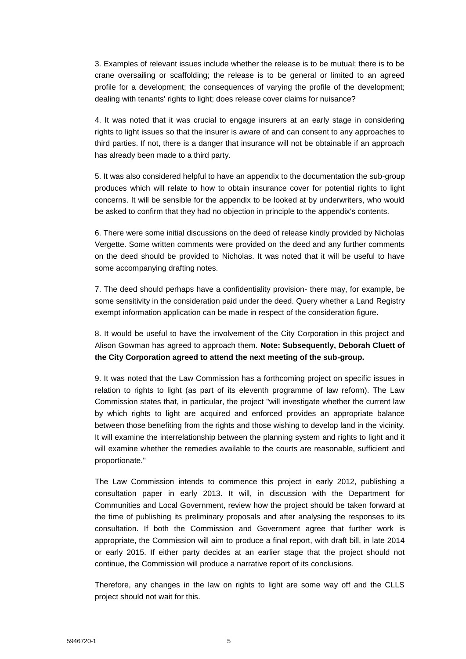3. Examples of relevant issues include whether the release is to be mutual; there is to be crane oversailing or scaffolding; the release is to be general or limited to an agreed profile for a development; the consequences of varying the profile of the development; dealing with tenants' rights to light; does release cover claims for nuisance?

4. It was noted that it was crucial to engage insurers at an early stage in considering rights to light issues so that the insurer is aware of and can consent to any approaches to third parties. If not, there is a danger that insurance will not be obtainable if an approach has already been made to a third party.

5. It was also considered helpful to have an appendix to the documentation the sub-group produces which will relate to how to obtain insurance cover for potential rights to light concerns. It will be sensible for the appendix to be looked at by underwriters, who would be asked to confirm that they had no objection in principle to the appendix's contents.

6. There were some initial discussions on the deed of release kindly provided by Nicholas Vergette. Some written comments were provided on the deed and any further comments on the deed should be provided to Nicholas. It was noted that it will be useful to have some accompanying drafting notes.

7. The deed should perhaps have a confidentiality provision- there may, for example, be some sensitivity in the consideration paid under the deed. Query whether a Land Registry exempt information application can be made in respect of the consideration figure.

8. It would be useful to have the involvement of the City Corporation in this project and Alison Gowman has agreed to approach them. **Note: Subsequently, Deborah Cluett of the City Corporation agreed to attend the next meeting of the sub-group.**

9. It was noted that the Law Commission has a forthcoming project on specific issues in relation to rights to light (as part of its eleventh programme of law reform). The Law Commission states that, in particular, the project "will investigate whether the current law by which rights to light are acquired and enforced provides an appropriate balance between those benefiting from the rights and those wishing to develop land in the vicinity. It will examine the interrelationship between the planning system and rights to light and it will examine whether the remedies available to the courts are reasonable, sufficient and proportionate."

The Law Commission intends to commence this project in early 2012, publishing a consultation paper in early 2013. It will, in discussion with the Department for Communities and Local Government, review how the project should be taken forward at the time of publishing its preliminary proposals and after analysing the responses to its consultation. If both the Commission and Government agree that further work is appropriate, the Commission will aim to produce a final report, with draft bill, in late 2014 or early 2015. If either party decides at an earlier stage that the project should not continue, the Commission will produce a narrative report of its conclusions.

Therefore, any changes in the law on rights to light are some way off and the CLLS project should not wait for this.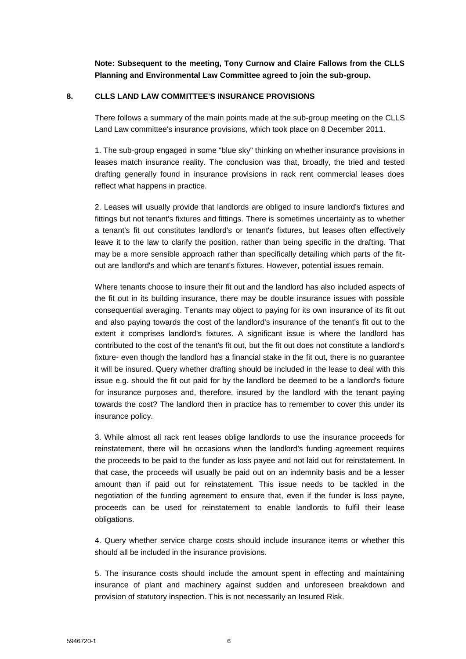**Note: Subsequent to the meeting, Tony Curnow and Claire Fallows from the CLLS Planning and Environmental Law Committee agreed to join the sub-group.**

#### **8. CLLS LAND LAW COMMITTEE'S INSURANCE PROVISIONS**

There follows a summary of the main points made at the sub-group meeting on the CLLS Land Law committee's insurance provisions, which took place on 8 December 2011.

1. The sub-group engaged in some "blue sky" thinking on whether insurance provisions in leases match insurance reality. The conclusion was that, broadly, the tried and tested drafting generally found in insurance provisions in rack rent commercial leases does reflect what happens in practice.

2. Leases will usually provide that landlords are obliged to insure landlord's fixtures and fittings but not tenant's fixtures and fittings. There is sometimes uncertainty as to whether a tenant's fit out constitutes landlord's or tenant's fixtures, but leases often effectively leave it to the law to clarify the position, rather than being specific in the drafting. That may be a more sensible approach rather than specifically detailing which parts of the fitout are landlord's and which are tenant's fixtures. However, potential issues remain.

Where tenants choose to insure their fit out and the landlord has also included aspects of the fit out in its building insurance, there may be double insurance issues with possible consequential averaging. Tenants may object to paying for its own insurance of its fit out and also paying towards the cost of the landlord's insurance of the tenant's fit out to the extent it comprises landlord's fixtures. A significant issue is where the landlord has contributed to the cost of the tenant's fit out, but the fit out does not constitute a landlord's fixture- even though the landlord has a financial stake in the fit out, there is no guarantee it will be insured. Query whether drafting should be included in the lease to deal with this issue e.g. should the fit out paid for by the landlord be deemed to be a landlord's fixture for insurance purposes and, therefore, insured by the landlord with the tenant paying towards the cost? The landlord then in practice has to remember to cover this under its insurance policy.

3. While almost all rack rent leases oblige landlords to use the insurance proceeds for reinstatement, there will be occasions when the landlord's funding agreement requires the proceeds to be paid to the funder as loss payee and not laid out for reinstatement. In that case, the proceeds will usually be paid out on an indemnity basis and be a lesser amount than if paid out for reinstatement. This issue needs to be tackled in the negotiation of the funding agreement to ensure that, even if the funder is loss payee, proceeds can be used for reinstatement to enable landlords to fulfil their lease obligations.

4. Query whether service charge costs should include insurance items or whether this should all be included in the insurance provisions.

5. The insurance costs should include the amount spent in effecting and maintaining insurance of plant and machinery against sudden and unforeseen breakdown and provision of statutory inspection. This is not necessarily an Insured Risk.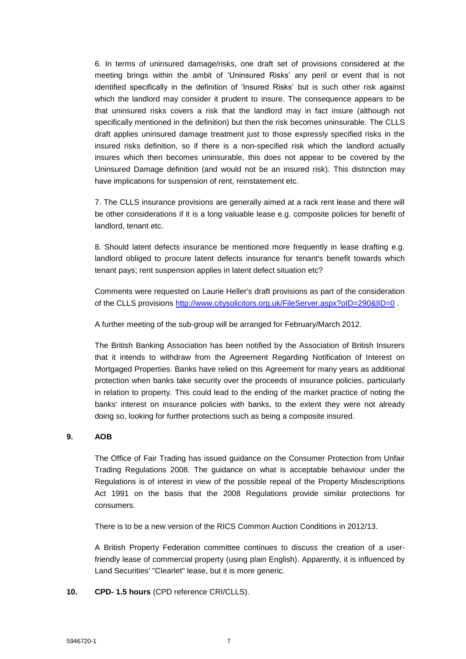6. In terms of uninsured damage/risks, one draft set of provisions considered at the meeting brings within the ambit of 'Uninsured Risks' any peril or event that is not identified specifically in the definition of 'Insured Risks' but is such other risk against which the landlord may consider it prudent to insure. The consequence appears to be that uninsured risks covers a risk that the landlord may in fact insure (although not specifically mentioned in the definition) but then the risk becomes uninsurable. The CLLS draft applies uninsured damage treatment just to those expressly specified risks in the insured risks definition, so if there is a non-specified risk which the landlord actually insures which then becomes uninsurable, this does not appear to be covered by the Uninsured Damage definition (and would not be an insured risk). This distinction may have implications for suspension of rent, reinstatement etc.

7. The CLLS insurance provisions are generally aimed at a rack rent lease and there will be other considerations if it is a long valuable lease e.g. composite policies for benefit of landlord, tenant etc.

8. Should latent defects insurance be mentioned more frequently in lease drafting e.g. landlord obliged to procure latent defects insurance for tenant's benefit towards which tenant pays; rent suspension applies in latent defect situation etc?

Comments were requested on Laurie Heller's draft provisions as part of the consideration of the CLLS provisions http://www.citysolicitors.org.uk/FileServer.aspx?oID=290&IID=0.

A further meeting of the sub-group will be arranged for February/March 2012.

The British Banking Association has been notified by the Association of British Insurers that it intends to withdraw from the Agreement Regarding Notification of Interest on Mortgaged Properties. Banks have relied on this Agreement for many years as additional protection when banks take security over the proceeds of insurance policies, particularly in relation to property. This could lead to the ending of the market practice of noting the banks' interest on insurance policies with banks, to the extent they were not already doing so, looking for further protections such as being a composite insured.

#### **9. AOB**

The Office of Fair Trading has issued guidance on the Consumer Protection from Unfair Trading Regulations 2008. The guidance on what is acceptable behaviour under the Regulations is of interest in view of the possible repeal of the Property Misdescriptions Act 1991 on the basis that the 2008 Regulations provide similar protections for consumers.

There is to be a new version of the RICS Common Auction Conditions in 2012/13.

A British Property Federation committee continues to discuss the creation of a userfriendly lease of commercial property (using plain English). Apparently, it is influenced by Land Securities' "Clearlet" lease, but it is more generic.

**10. CPD- 1.5 hours** (CPD reference CRI/CLLS).